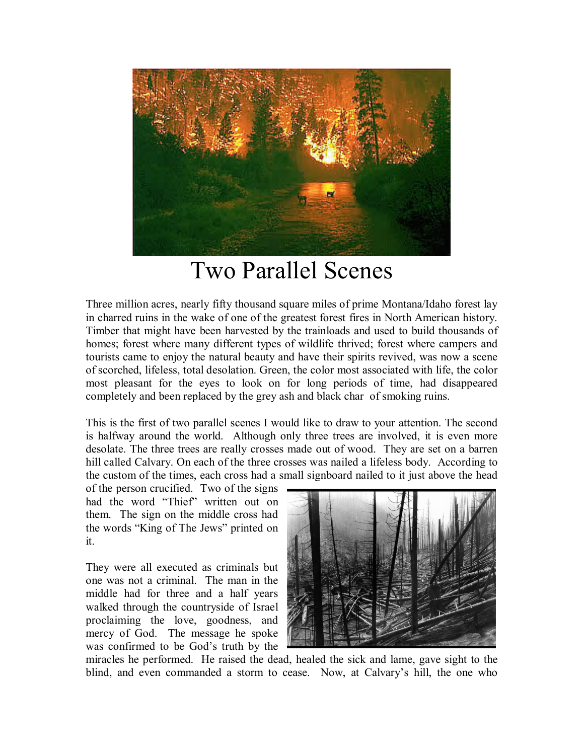

## Two Parallel Scenes

Three million acres, nearly fifty thousand square miles of prime Montana/Idaho forest lay in charred ruins in the wake of one of the greatest forest fires in North American history. Timber that might have been harvested by the trainloads and used to build thousands of homes; forest where many different types of wildlife thrived; forest where campers and tourists came to enjoy the natural beauty and have their spirits revived, was now a scene of scorched, lifeless, total desolation. Green, the color most associated with life, the color most pleasant for the eyes to look on for long periods of time, had disappeared completely and been replaced by the grey ash and black char of smoking ruins.

This is the first of two parallel scenes I would like to draw to your attention. The second is halfway around the world. Although only three trees are involved, it is even more desolate. The three trees are really crosses made out of wood. They are set on a barren hill called Calvary. On each of the three crosses was nailed a lifeless body. According to the custom of the times, each cross had a small signboard nailed to it just above the head

of the person crucified. Two of the signs had the word "Thief" written out on them. The sign on the middle cross had the words "King of The Jews" printed on it.

They were all executed as criminals but one was not a criminal. The man in the middle had for three and a half years walked through the countryside of Israel proclaiming the love, goodness, and mercy of God. The message he spoke was confirmed to be God's truth by the



miracles he performed. He raised the dead, healed the sick and lame, gave sight to the blind, and even commanded a storm to cease. Now, at Calvary's hill, the one who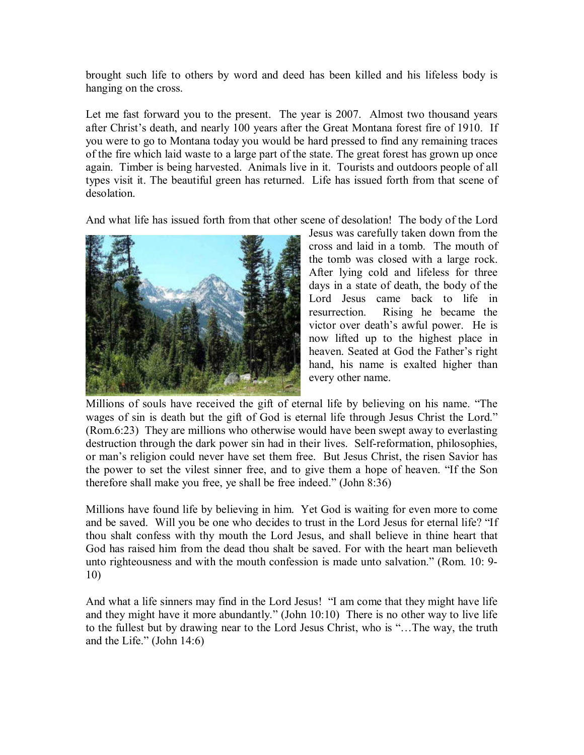brought such life to others by word and deed has been killed and his lifeless body is hanging on the cross.

Let me fast forward you to the present. The year is 2007. Almost two thousand years after Christ's death, and nearly 100 years after the Great Montana forest fire of 1910. If you were to go to Montana today you would be hard pressed to find any remaining traces of the fire which laid waste to a large part of the state. The great forest has grown up once again. Timber is being harvested. Animals live in it. Tourists and outdoors people of all types visit it. The beautiful green has returned. Life has issued forth from that scene of desolation.

And what life has issued forth from that other scene of desolation! The body of the Lord



Jesus was carefully taken down from the cross and laid in a tomb. The mouth of the tomb was closed with a large rock. After lying cold and lifeless for three days in a state of death, the body of the Lord Jesus came back to life in resurrection. Rising he became the victor over death's awful power. He is now lifted up to the highest place in heaven. Seated at God the Father's right hand, his name is exalted higher than every other name.

Millions of souls have received the gift of eternal life by believing on his name. "The wages of sin is death but the gift of God is eternal life through Jesus Christ the Lord." (Rom.6:23) They are millions who otherwise would have been swept away to everlasting destruction through the dark power sin had in their lives. Self-reformation, philosophies, or man's religion could never have set them free. But Jesus Christ, the risen Savior has the power to set the vilest sinner free, and to give them a hope of heaven. "If the Son therefore shall make you free, ye shall be free indeed." (John 8:36)

Millions have found life by believing in him. Yet God is waiting for even more to come and be saved. Will you be one who decides to trust in the Lord Jesus for eternal life? "If thou shalt confess with thy mouth the Lord Jesus, and shall believe in thine heart that God has raised him from the dead thou shalt be saved. For with the heart man believeth unto righteousness and with the mouth confession is made unto salvation." (Rom. 10: 9- 10)

And what a life sinners may find in the Lord Jesus! "I am come that they might have life and they might have it more abundantly." (John 10:10) There is no other way to live life to the fullest but by drawing near to the Lord Jesus Christ, who is "…The way, the truth and the Life." (John 14:6)